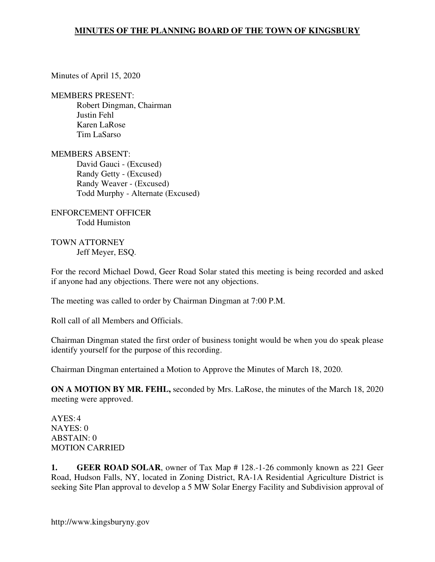Minutes of April 15, 2020

MEMBERS PRESENT:

Robert Dingman, Chairman Justin Fehl Karen LaRose Tim LaSarso

MEMBERS ABSENT: David Gauci - (Excused) Randy Getty - (Excused) Randy Weaver - (Excused) Todd Murphy - Alternate (Excused)

ENFORCEMENT OFFICER Todd Humiston

TOWN ATTORNEY Jeff Meyer, ESQ.

For the record Michael Dowd, Geer Road Solar stated this meeting is being recorded and asked if anyone had any objections. There were not any objections.

The meeting was called to order by Chairman Dingman at 7:00 P.M.

Roll call of all Members and Officials.

Chairman Dingman stated the first order of business tonight would be when you do speak please identify yourself for the purpose of this recording.

Chairman Dingman entertained a Motion to Approve the Minutes of March 18, 2020.

**ON A MOTION BY MR. FEHL,** seconded by Mrs. LaRose, the minutes of the March 18, 2020 meeting were approved.

AYES: 4 NAYES: 0 ABSTAIN: 0 MOTION CARRIED

**1. GEER ROAD SOLAR**, owner of Tax Map # 128.-1-26 commonly known as 221 Geer Road, Hudson Falls, NY, located in Zoning District, RA-1A Residential Agriculture District is seeking Site Plan approval to develop a 5 MW Solar Energy Facility and Subdivision approval of

http://www.kingsburyny.gov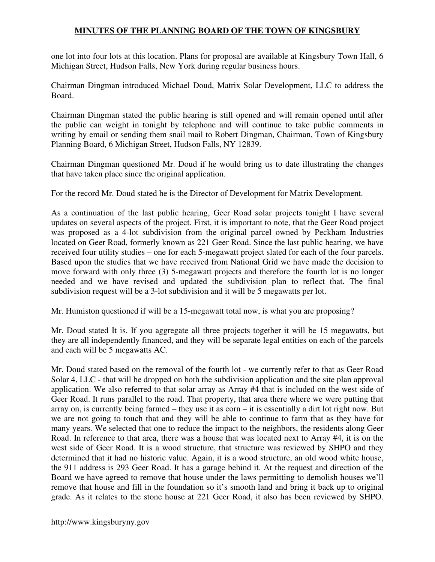one lot into four lots at this location. Plans for proposal are available at Kingsbury Town Hall, 6 Michigan Street, Hudson Falls, New York during regular business hours.

Chairman Dingman introduced Michael Doud, Matrix Solar Development, LLC to address the Board.

Chairman Dingman stated the public hearing is still opened and will remain opened until after the public can weight in tonight by telephone and will continue to take public comments in writing by email or sending them snail mail to Robert Dingman, Chairman, Town of Kingsbury Planning Board, 6 Michigan Street, Hudson Falls, NY 12839.

Chairman Dingman questioned Mr. Doud if he would bring us to date illustrating the changes that have taken place since the original application.

For the record Mr. Doud stated he is the Director of Development for Matrix Development.

As a continuation of the last public hearing, Geer Road solar projects tonight I have several updates on several aspects of the project. First, it is important to note, that the Geer Road project was proposed as a 4-lot subdivision from the original parcel owned by Peckham Industries located on Geer Road, formerly known as 221 Geer Road. Since the last public hearing, we have received four utility studies – one for each 5-megawatt project slated for each of the four parcels. Based upon the studies that we have received from National Grid we have made the decision to move forward with only three (3) 5-megawatt projects and therefore the fourth lot is no longer needed and we have revised and updated the subdivision plan to reflect that. The final subdivision request will be a 3-lot subdivision and it will be 5 megawatts per lot.

Mr. Humiston questioned if will be a 15-megawatt total now, is what you are proposing?

Mr. Doud stated It is. If you aggregate all three projects together it will be 15 megawatts, but they are all independently financed, and they will be separate legal entities on each of the parcels and each will be 5 megawatts AC.

Mr. Doud stated based on the removal of the fourth lot - we currently refer to that as Geer Road Solar 4, LLC - that will be dropped on both the subdivision application and the site plan approval application. We also referred to that solar array as Array #4 that is included on the west side of Geer Road. It runs parallel to the road. That property, that area there where we were putting that array on, is currently being farmed – they use it as corn – it is essentially a dirt lot right now. But we are not going to touch that and they will be able to continue to farm that as they have for many years. We selected that one to reduce the impact to the neighbors, the residents along Geer Road. In reference to that area, there was a house that was located next to Array #4, it is on the west side of Geer Road. It is a wood structure, that structure was reviewed by SHPO and they determined that it had no historic value. Again, it is a wood structure, an old wood white house, the 911 address is 293 Geer Road. It has a garage behind it. At the request and direction of the Board we have agreed to remove that house under the laws permitting to demolish houses we'll remove that house and fill in the foundation so it's smooth land and bring it back up to original grade. As it relates to the stone house at 221 Geer Road, it also has been reviewed by SHPO.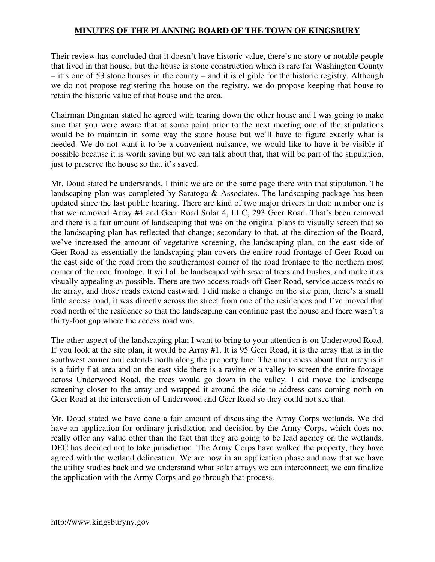Their review has concluded that it doesn't have historic value, there's no story or notable people that lived in that house, but the house is stone construction which is rare for Washington County – it's one of 53 stone houses in the county – and it is eligible for the historic registry. Although we do not propose registering the house on the registry, we do propose keeping that house to retain the historic value of that house and the area.

Chairman Dingman stated he agreed with tearing down the other house and I was going to make sure that you were aware that at some point prior to the next meeting one of the stipulations would be to maintain in some way the stone house but we'll have to figure exactly what is needed. We do not want it to be a convenient nuisance, we would like to have it be visible if possible because it is worth saving but we can talk about that, that will be part of the stipulation, just to preserve the house so that it's saved.

Mr. Doud stated he understands, I think we are on the same page there with that stipulation. The landscaping plan was completed by Saratoga & Associates. The landscaping package has been updated since the last public hearing. There are kind of two major drivers in that: number one is that we removed Array #4 and Geer Road Solar 4, LLC, 293 Geer Road. That's been removed and there is a fair amount of landscaping that was on the original plans to visually screen that so the landscaping plan has reflected that change; secondary to that, at the direction of the Board, we've increased the amount of vegetative screening, the landscaping plan, on the east side of Geer Road as essentially the landscaping plan covers the entire road frontage of Geer Road on the east side of the road from the southernmost corner of the road frontage to the northern most corner of the road frontage. It will all be landscaped with several trees and bushes, and make it as visually appealing as possible. There are two access roads off Geer Road, service access roads to the array, and those roads extend eastward. I did make a change on the site plan, there's a small little access road, it was directly across the street from one of the residences and I've moved that road north of the residence so that the landscaping can continue past the house and there wasn't a thirty-foot gap where the access road was.

The other aspect of the landscaping plan I want to bring to your attention is on Underwood Road. If you look at the site plan, it would be Array #1. It is 95 Geer Road, it is the array that is in the southwest corner and extends north along the property line. The uniqueness about that array is it is a fairly flat area and on the east side there is a ravine or a valley to screen the entire footage across Underwood Road, the trees would go down in the valley. I did move the landscape screening closer to the array and wrapped it around the side to address cars coming north on Geer Road at the intersection of Underwood and Geer Road so they could not see that.

Mr. Doud stated we have done a fair amount of discussing the Army Corps wetlands. We did have an application for ordinary jurisdiction and decision by the Army Corps, which does not really offer any value other than the fact that they are going to be lead agency on the wetlands. DEC has decided not to take jurisdiction. The Army Corps have walked the property, they have agreed with the wetland delineation. We are now in an application phase and now that we have the utility studies back and we understand what solar arrays we can interconnect; we can finalize the application with the Army Corps and go through that process.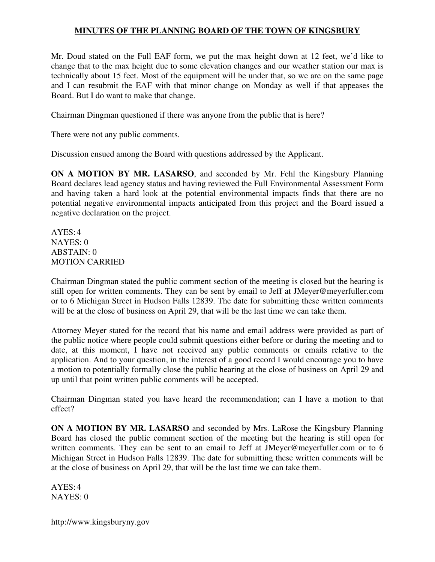Mr. Doud stated on the Full EAF form, we put the max height down at 12 feet, we'd like to change that to the max height due to some elevation changes and our weather station our max is technically about 15 feet. Most of the equipment will be under that, so we are on the same page and I can resubmit the EAF with that minor change on Monday as well if that appeases the Board. But I do want to make that change.

Chairman Dingman questioned if there was anyone from the public that is here?

There were not any public comments.

Discussion ensued among the Board with questions addressed by the Applicant.

**ON A MOTION BY MR. LASARSO**, and seconded by Mr. Fehl the Kingsbury Planning Board declares lead agency status and having reviewed the Full Environmental Assessment Form and having taken a hard look at the potential environmental impacts finds that there are no potential negative environmental impacts anticipated from this project and the Board issued a negative declaration on the project.

 $AYES:4$ NAYES: 0 ABSTAIN: 0 MOTION CARRIED

Chairman Dingman stated the public comment section of the meeting is closed but the hearing is still open for written comments. They can be sent by email to Jeff at JMeyer@meyerfuller.com or to 6 Michigan Street in Hudson Falls 12839. The date for submitting these written comments will be at the close of business on April 29, that will be the last time we can take them.

Attorney Meyer stated for the record that his name and email address were provided as part of the public notice where people could submit questions either before or during the meeting and to date, at this moment, I have not received any public comments or emails relative to the application. And to your question, in the interest of a good record I would encourage you to have a motion to potentially formally close the public hearing at the close of business on April 29 and up until that point written public comments will be accepted.

Chairman Dingman stated you have heard the recommendation; can I have a motion to that effect?

**ON A MOTION BY MR. LASARSO** and seconded by Mrs. LaRose the Kingsbury Planning Board has closed the public comment section of the meeting but the hearing is still open for written comments. They can be sent to an email to Jeff at JMeyer@meyerfuller.com or to 6 Michigan Street in Hudson Falls 12839. The date for submitting these written comments will be at the close of business on April 29, that will be the last time we can take them.

 $AYES:4$ NAYES: 0

http://www.kingsburyny.gov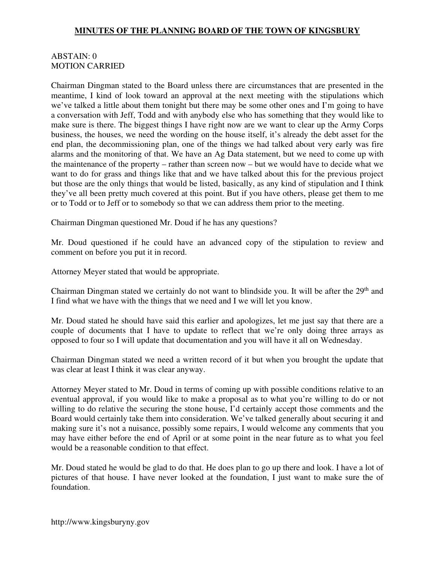### ABSTAIN: 0 MOTION CARRIED

Chairman Dingman stated to the Board unless there are circumstances that are presented in the meantime, I kind of look toward an approval at the next meeting with the stipulations which we've talked a little about them tonight but there may be some other ones and I'm going to have a conversation with Jeff, Todd and with anybody else who has something that they would like to make sure is there. The biggest things I have right now are we want to clear up the Army Corps business, the houses, we need the wording on the house itself, it's already the debt asset for the end plan, the decommissioning plan, one of the things we had talked about very early was fire alarms and the monitoring of that. We have an Ag Data statement, but we need to come up with the maintenance of the property – rather than screen now – but we would have to decide what we want to do for grass and things like that and we have talked about this for the previous project but those are the only things that would be listed, basically, as any kind of stipulation and I think they've all been pretty much covered at this point. But if you have others, please get them to me or to Todd or to Jeff or to somebody so that we can address them prior to the meeting.

Chairman Dingman questioned Mr. Doud if he has any questions?

Mr. Doud questioned if he could have an advanced copy of the stipulation to review and comment on before you put it in record.

Attorney Meyer stated that would be appropriate.

Chairman Dingman stated we certainly do not want to blindside you. It will be after the  $29<sup>th</sup>$  and I find what we have with the things that we need and I we will let you know.

Mr. Doud stated he should have said this earlier and apologizes, let me just say that there are a couple of documents that I have to update to reflect that we're only doing three arrays as opposed to four so I will update that documentation and you will have it all on Wednesday.

Chairman Dingman stated we need a written record of it but when you brought the update that was clear at least I think it was clear anyway.

Attorney Meyer stated to Mr. Doud in terms of coming up with possible conditions relative to an eventual approval, if you would like to make a proposal as to what you're willing to do or not willing to do relative the securing the stone house, I'd certainly accept those comments and the Board would certainly take them into consideration. We've talked generally about securing it and making sure it's not a nuisance, possibly some repairs, I would welcome any comments that you may have either before the end of April or at some point in the near future as to what you feel would be a reasonable condition to that effect.

Mr. Doud stated he would be glad to do that. He does plan to go up there and look. I have a lot of pictures of that house. I have never looked at the foundation, I just want to make sure the of foundation.